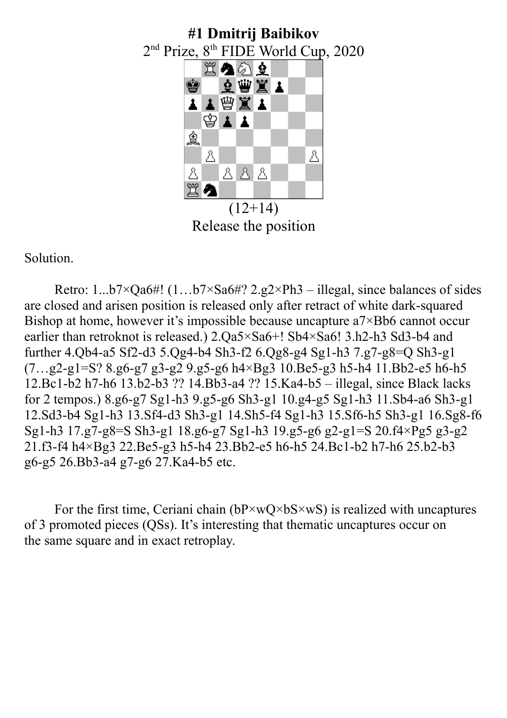

Release the position

Solution.

Retro: 1...b7×Qa6#! (1…b7×Sa6#? 2.g2×Ph3 – illegal, since balances of sides are closed and arisen position is released only after retract of white dark-squared Bishop at home, however it's impossible because uncapture a7×Bb6 cannot occur earlier than retroknot is released.) 2.Qa5×Sa6+! Sb4×Sa6! 3.h2-h3 Sd3-b4 and further 4.Qb4-a5 Sf2-d3 5.Qg4-b4 Sh3-f2 6.Qg8-g4 Sg1-h3 7.g7-g8=Q Sh3-g1  $(7...g2-g1=S? 8.g6-g7 g3-g2 9.g5-g6 h4\times Bg3 10.Be5-g3 h5-h4 11.Bb2-e5 h6-h5$ 12.Bc1-b2 h7-h6 13.b2-b3 ?? 14.Bb3-a4 ?? 15.Ka4-b5 – illegal, since Black lacks for 2 tempos.) 8.g6-g7 Sg1-h3 9.g5-g6 Sh3-g1 10.g4-g5 Sg1-h3 11.Sb4-a6 Sh3-g1 12.Sd3-b4 Sg1-h3 13.Sf4-d3 Sh3-g1 14.Sh5-f4 Sg1-h3 15.Sf6-h5 Sh3-g1 16.Sg8-f6 Sg1-h3 17.g7-g8=S Sh3-g1 18.g6-g7 Sg1-h3 19.g5-g6 g2-g1=S 20.f4×Pg5 g3-g2 21.f3-f4 h4×Bg3 22.Be5-g3 h5-h4 23.Bb2-e5 h6-h5 24.Bc1-b2 h7-h6 25.b2-b3 g6-g5 26.Bb3-a4 g7-g6 27.Ka4-b5 etc.

For the first time, Ceriani chain  $(bP \times wQ \times bS \times wS)$  is realized with uncaptures of 3 promoted pieces (QSs). It's interesting that thematic uncaptures occur on the same square and in exact retroplay.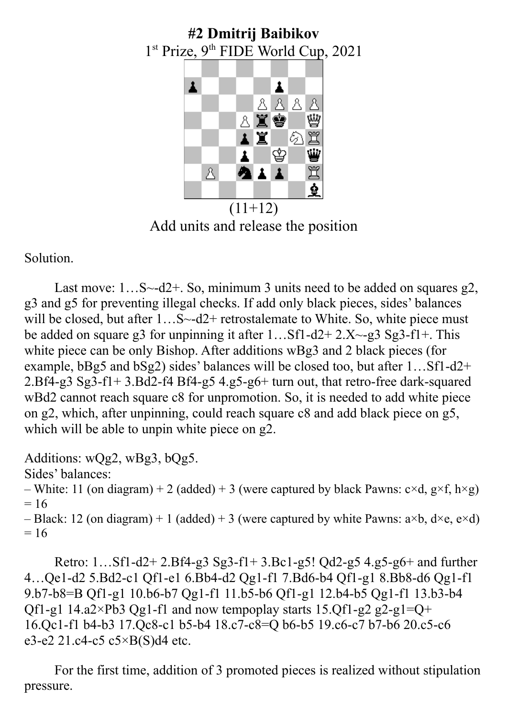# **#2 Dmitrij Baibikov** 1<sup>st</sup> Prize, 9<sup>th</sup> FIDE World Cup, 2021



 $(11+12)$ Add units and release the position

Solution.

Last move:  $1...S \sim d2+$ . So, minimum 3 units need to be added on squares g2, g3 and g5 for preventing illegal checks. If add only black pieces, sides' balances will be closed, but after 1...S~-d2+ retrostalemate to White. So, white piece must be added on square g3 for unpinning it after  $1...ST1-d2+2.X-g3 Sg3-f1+.$  This white piece can be only Bishop. After additions wBg3 and 2 black pieces (for example, bBg5 and bSg2) sides' balances will be closed too, but after 1…Sf1-d2+ 2.Bf4-g3 Sg3-f1+ 3.Bd2-f4 Bf4-g5 4.g5-g6+ turn out, that retro-free dark-squared wBd2 cannot reach square c8 for unpromotion. So, it is needed to add white piece on g2, which, after unpinning, could reach square с8 and add black piece on g5, which will be able to unpin white piece on g2.

Additions: wQg2, wBg3, bQg5. Sides' balances: – White: 11 (on diagram) + 2 (added) + 3 (were captured by black Pawns:  $c \times d$ ,  $g \times f$ ,  $h \times g$ )  $= 16$ – Black: 12 (on diagram) + 1 (added) + 3 (were captured by white Pawns:  $a \times b$ ,  $d \times e$ ,  $e \times d$ )  $= 16$ 

Retro: 1…Sf1-d2+ 2.Bf4-g3 Sg3-f1+ 3.Bc1-g5! Qd2-g5 4.g5-g6+ and further 4…Qe1-d2 5.Bd2-c1 Qf1-e1 6.Bb4-d2 Qg1-f1 7.Bd6-b4 Qf1-g1 8.Bb8-d6 Qg1-f1 9.b7-b8=B Qf1-g1 10.b6-b7 Qg1-f1 11.b5-b6 Qf1-g1 12.b4-b5 Qg1-f1 13.b3-b4 Qf1-g1 14.a2×Pb3 Qg1-f1 and now tempoplay starts 15.Qf1-g2 g2-g1=Q+ 16.Qc1-f1 b4-b3 17.Qc8-c1 b5-b4 18.c7-c8=Q b6-b5 19.c6-c7 b7-b6 20.c5-c6 e3-e2 21.c4-c5  $c5 \times B(S)$ d4 etc.

For the first time, addition of 3 promoted pieces is realized without stipulation pressure.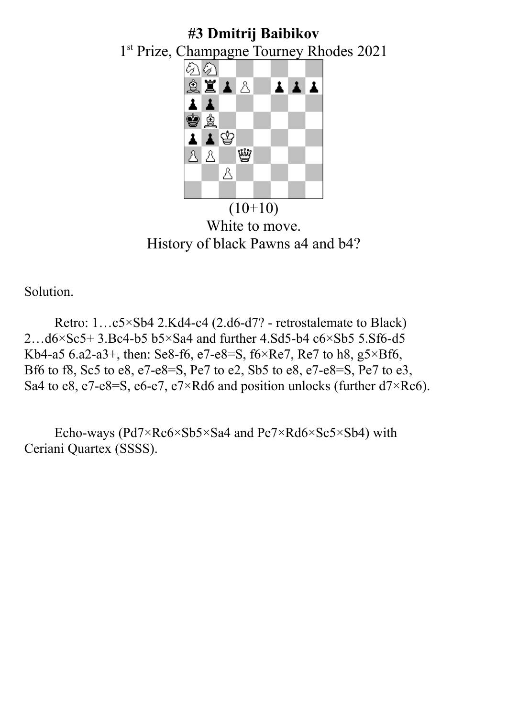### **#3 Dmitrij Baibikov** 1 st Prize, Champagne Tourney Rhodes 2021 のの  $\begin{array}{c|c|c|c|c} \hline \textbf{1} & \textbf{1} & \textbf{1} \\\hline \end{array}$ X A A 土 \$\$ ▲曾 1 ١Ŵ  $8B$ &

 $(10+10)$ White to move. History of black Pawns a4 and b4?

Solution.

Retro: 1…c5×Sb4 2.Kd4-c4 (2.d6-d7? - retrostalemate to Black) 2…d6×Sc5+ 3.Bc4-b5 b5×Sa4 and further 4.Sd5-b4 c6×Sb5 5.Sf6-d5 Kb4-a5 6.a2-a3+, then: Se8-f6, e7-e8=S,  $f6 \times Re7$ , Re7 to h8, g5 $\times Bf6$ , Bf6 to f8, Sc5 to e8, e7-e8=S, Pe7 to e2, Sb5 to e8, e7-e8=S, Pe7 to e3, Sa4 to e8, e7-e8=S, e6-e7, e7×Rd6 and position unlocks (further  $d7\times$ Rc6).

Echo-ways (Pd7×Rc6×Sb5×Sa4 and Pe7×Rd6×Sc5×Sb4) with Ceriani Quartex (SSSS).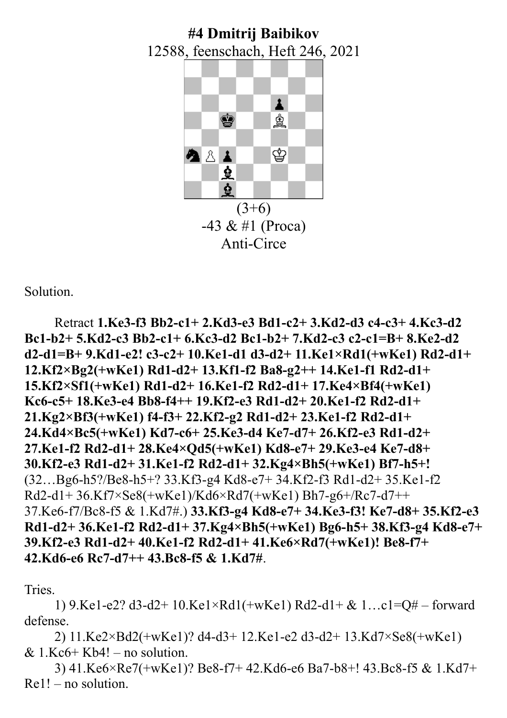### **#4 Dmitrij Baibikov** 12588, feenschach, Heft 246, 2021



 $-43 & 41$  (Proca) Anti-Circe

Solution.

Retract **1.Ke3-f3 Bb2-c1+ 2.Kd3-e3 Bd1-c2+ 3.Kd2-d3 c4-c3+ 4.Kc3-d2 Bc1-b2+ 5.Kd2-c3 Bb2-c1+ 6.Kc3-d2 Bc1-b2+ 7.Kd2-c3 c2-c1=B+ 8.Ke2-d2 d2-d1=B+ 9.Kd1-e2! c3-c2+ 10.Ke1-d1 d3-d2+ 11.Ke1×Rd1(+wKe1) Rd2-d1+ 12.Kf2×Bg2(+wKe1) Rd1-d2+ 13.Kf1-f2 Ba8-g2++ 14.Ke1-f1 Rd2-d1+ 15.Kf2×Sf1(+wKe1) Rd1-d2+ 16.Ke1-f2 Rd2-d1+ 17.Ke4×Bf4(+wKe1) Kc6-c5+ 18.Ke3-e4 Bb8-f4++ 19.Kf2-e3 Rd1-d2+ 20.Ke1-f2 Rd2-d1+ 21.Kg2×Bf3(+wKe1) f4-f3+ 22.Kf2-g2 Rd1-d2+ 23.Ke1-f2 Rd2-d1+ 24.Kd4×Bc5(+wKe1) Kd7-c6+ 25.Ke3-d4 Ke7-d7+ 26.Kf2-e3 Rd1-d2+ 27.Ke1-f2 Rd2-d1+ 28.Ke4×Qd5(+wKe1) Kd8-e7+ 29.Ke3-e4 Ke7-d8+ 30.Kf2-e3 Rd1-d2+ 31.Ke1-f2 Rd2-d1+ 32.Kg4×Bh5(+wKe1) Bf7-h5+!**  (32…Bg6-h5?/Be8-h5+? 33.Kf3-g4 Kd8-e7+ 34.Kf2-f3 Rd1-d2+ 35.Ke1-f2 Rd2-d1+ 36.Kf7×Se8(+wKe1)/Kd6×Rd7(+wKe1) Bh7-g6+/Rc7-d7++ 37.Ke6-f7/Bc8-f5 & 1.Kd7#.) **33.Kf3-g4 Kd8-e7+ 34.Ke3-f3! Ke7-d8+ 35.Kf2-e3 Rd1-d2+ 36.Ke1-f2 Rd2-d1+ 37.Kg4×Bh5(+wKe1) Bg6-h5+ 38.Kf3-g4 Kd8-e7+ 39.Kf2-e3 Rd1-d2+ 40.Ke1-f2 Rd2-d1+ 41.Ke6×Rd7(+wKe1)! Be8-f7+ 42.Kd6-e6 Rc7-d7++ 43.Bc8-f5 & 1.Kd7#**.

Tries.

1) 9.Ke1-e2? d3-d2+ 10.Ke1×Rd1(+wKe1) Rd2-d1+ & 1…c1=Q# – forward defense.

2) 11.Ke2×Bd2(+wKe1)? d4-d3+ 12.Ke1-e2 d3-d2+ 13.Kd7×Se8(+wKe1) &  $1.Kc6+Kb4!$  – no solution.

3) 41.Ke6×Re7(+wKe1)? Be8-f7+ 42.Kd6-e6 Ba7-b8+! 43.Bc8-f5 & 1.Kd7+ Re1! – no solution.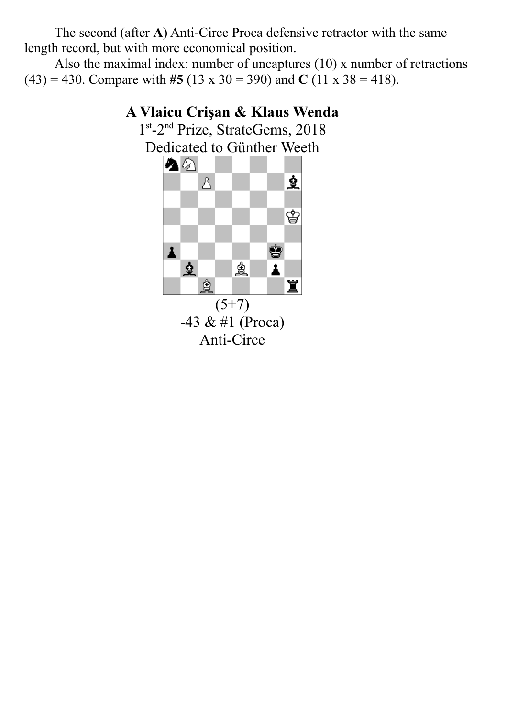The second (after **A**) Anti-Circe Proca defensive retractor with the same length record, but with more economical position.

Also the maximal index: number of uncaptures (10) x number of retractions (43) = 430. Compare with #5 (13 x 30 = 390) and **C** (11 x 38 = 418).

#### **A Vlaicu Crişan & Klaus Wenda** 1<sup>st</sup>-2<sup>nd</sup> Prize, StrateGems, 2018 Dedicated to Günther Weeth A 2 ₫  $\Delta$ ♔ ġ  $\pmb{\lambda}$ 臭 ė 1 ģ 寘  $(5+7)$  $-43 & 41$  (Proca) Anti-Circe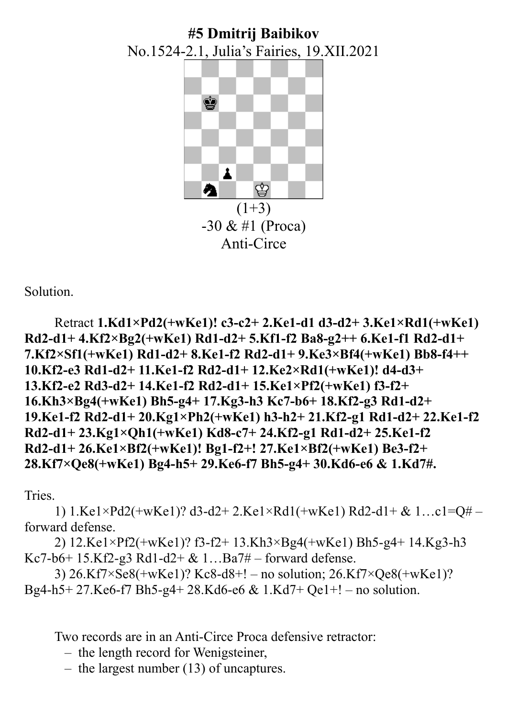## **#5 Dmitrij Baibikov** No.1524-2.1, Julia's Fairies, 19.XII.2021



Anti-Circe

Solution.

```
Retract 1.Kd1×Pd2(+wKe1)! c3-c2+ 2.Ke1-d1 d3-d2+ 3.Ke1×Rd1(+wKe1) 
Rd2-d1+ 4.Kf2×Bg2(+wKe1) Rd1-d2+ 5.Kf1-f2 Ba8-g2++ 6.Ke1-f1 Rd2-d1+ 
7.Kf2×Sf1(+wKe1) Rd1-d2+ 8.Ke1-f2 Rd2-d1+ 9.Ke3×Bf4(+wKe1) Bb8-f4++ 
10.Kf2-e3 Rd1-d2+ 11.Ke1-f2 Rd2-d1+ 12.Ke2×Rd1(+wKe1)! d4-d3+ 
13.Kf2-e2 Rd3-d2+ 14.Ke1-f2 Rd2-d1+ 15.Ke1×Pf2(+wKe1) f3-f2+ 
16.Kh3×Bg4(+wKe1) Bh5-g4+ 17.Kg3-h3 Kc7-b6+ 18.Kf2-g3 Rd1-d2+ 
19.Ke1-f2 Rd2-d1+ 20.Kg1×Ph2(+wKe1) h3-h2+ 21.Kf2-g1 Rd1-d2+ 22.Ke1-f2 
Rd2-d1+ 23.Kg1×Qh1(+wKe1) Kd8-c7+ 24.Kf2-g1 Rd1-d2+ 25.Ke1-f2 
Rd2-d1+ 26.Ke1×Bf2(+wKe1)! Bg1-f2+! 27.Ke1×Bf2(+wKe1) Be3-f2+ 
28.Kf7×Qe8(+wKe1) Bg4-h5+ 29.Ke6-f7 Bh5-g4+ 30.Kd6-e6 & 1.Kd7#.
```
Tries.

1) 1.Ke1×Pd2(+wKe1)? d3-d2+ 2.Ke1×Rd1(+wKe1) Rd2-d1+ & 1…c1=Q# – forward defense.

2) 12.Ke1×Pf2(+wKe1)? f3-f2+ 13.Kh3×Bg4(+wKe1) Bh5-g4+ 14.Kg3-h3 Kc7-b6+ 15.Kf2-g3 Rd1-d2+ & 1…Ba7# – forward defense.

3) 26.Kf7×Se8(+wKe1)? Kc8-d8+! – no solution; 26.Kf7×Qe8(+wKe1)? Bg4-h5+ 27.Ke6-f7 Bh5-g4+ 28.Kd6-e6 & 1.Kd7+ Qe1+! – no solution.

Two records are in an Anti-Circe Proca defensive retractor:

– the length record for Wenigsteiner,

– the largest number (13) of uncaptures.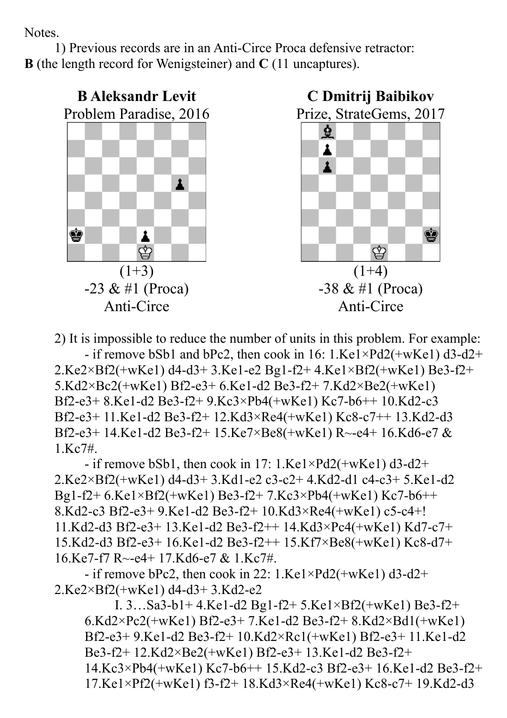Notes.

1) Previous records are in an Anti-Circe Proca defensive retractor: **B** (the length record for Wenigsteiner) and **C** (11 uncaptures).



2) It is impossible to reduce the number of units in this problem. For example: - if remove bSb1 and bPc2, then cook in 16: 1.Ke1×Pd2(+wKe1) d3-d2+

2.Ke2×Bf2(+wKe1) d4-d3+ 3.Ke1-e2 Bg1-f2+ 4.Ke1×Bf2(+wKe1) Be3-f2+ 5.Kd2×Bc2(+wKe1) Bf2-e3+ 6.Ke1-d2 Be3-f2+ 7.Kd2×Be2(+wKe1) Bf2-e3+ 8.Ke1-d2 Be3-f2+ 9.Kc3×Pb4(+wKe1) Kc7-b6++ 10.Kd2-c3 Bf2-e3+ 11.Ke1-d2 Be3-f2+ 12.Kd3×Re4(+wKe1) Kc8-c7++ 13.Kd2-d3 Bf2-e3+ 14.Ke1-d2 Be3-f2+ 15.Ke7×Be8(+wKe1) R~-e4+ 16.Kd6-e7 & 1.Kc7#.

- if remove bSb1, then cook in 17: 1.Ke1×Pd2(+wKe1) d3-d2+ 2.Ke2×Bf2(+wKe1) d4-d3+ 3.Kd1-e2 c3-c2+ 4.Kd2-d1 c4-c3+ 5.Ke1-d2 Bg1-f2+ 6.Ke1×Bf2(+wKe1) Be3-f2+ 7.Kc3×Pb4(+wKe1) Kc7-b6++ 8.Kd2-c3 Bf2-e3+ 9.Ke1-d2 Be3-f2+ 10.Kd3×Re4(+wKe1) c5-c4+! 11.Kd2-d3 Bf2-e3+ 13.Ke1-d2 Be3-f2++ 14.Kd3×Pc4(+wKe1) Kd7-c7+ 15.Kd2-d3 Bf2-e3+ 16.Ke1-d2 Be3-f2++ 15.Kf7×Be8(+wKe1) Kc8-d7+ 16.Ke7-f7 R~-e4+ 17.Kd6-e7 & 1.Kc7#.

- if remove bPc2, then cook in 22:  $1.Kel \times Pd2(+wKe1) d3-d2+$ 2.Ke2×Bf2(+wKe1) d4-d3+ 3.Kd2-e2

I. 3…Sa3-b1+ 4.Ke1-d2 Bg1-f2+ 5.Ke1×Bf2(+wKe1) Be3-f2+ 6.Kd2×Pc2(+wKe1) Bf2-e3+ 7.Ke1-d2 Be3-f2+ 8.Kd2×Bd1(+wKe1) Bf2-e3+ 9.Ke1-d2 Be3-f2+ 10.Kd2×Rc1(+wKe1) Bf2-e3+ 11.Ke1-d2 Be3-f2+ 12.Kd2×Be2(+wKe1) Bf2-e3+ 13.Ke1-d2 Be3-f2+ 14.Kc3×Pb4(+wKe1) Kc7-b6++ 15.Kd2-c3 Bf2-e3+ 16.Ke1-d2 Be3-f2+ 17.Ke1×Pf2(+wKe1) f3-f2+ 18.Kd3×Re4(+wKe1) Kc8-c7+ 19.Kd2-d3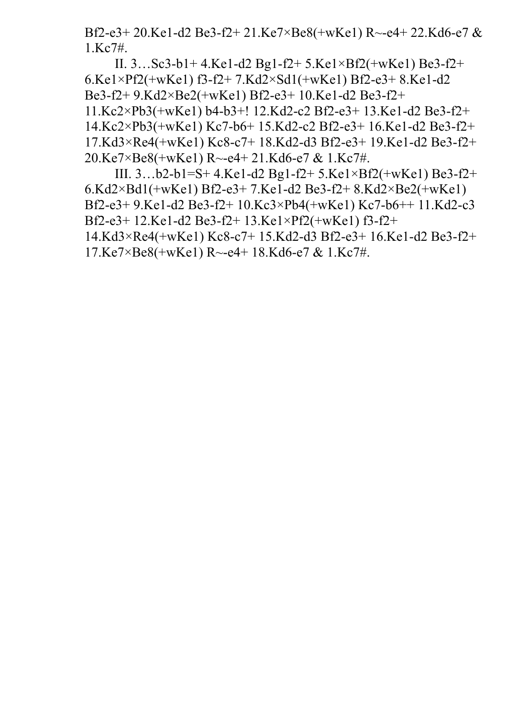Bf2-e3+ 20.Ke1-d2 Be3-f2+ 21.Ke7×Be8(+wKe1) R~-e4+ 22.Kd6-e7 & 1.Kc7#.

II. 3…Sc3-b1+ 4.Ke1-d2 Bg1-f2+ 5.Ke1×Bf2(+wKe1) Be3-f2+ 6.Ke1×Pf2(+wKe1) f3-f2+ 7.Kd2×Sd1(+wKe1) Bf2-e3+ 8.Ke1-d2 Be3-f2+ 9.Kd2×Be2(+wKe1) Bf2-e3+ 10.Ke1-d2 Be3-f2+ 11.Kc2×Pb3(+wKe1) b4-b3+! 12.Kd2-c2 Bf2-e3+ 13.Ke1-d2 Be3-f2+ 14.Kc2×Pb3(+wKe1) Kc7-b6+ 15.Kd2-c2 Bf2-e3+ 16.Ke1-d2 Be3-f2+ 17.Kd3×Re4(+wKe1) Kc8-c7+ 18.Kd2-d3 Bf2-e3+ 19.Ke1-d2 Be3-f2+ 20.Ke7×Be8(+wKe1) R~-e4+ 21.Kd6-e7 & 1.Kc7#.

III. 3…b2-b1=S+ 4.Ke1-d2 Bg1-f2+ 5.Ke1×Bf2(+wKe1) Be3-f2+ 6.Kd2×Bd1(+wKe1) Bf2-e3+ 7.Ke1-d2 Be3-f2+ 8.Kd2×Be2(+wKe1) Bf2-e3+ 9.Ke1-d2 Be3-f2+ 10.Kc3×Pb4(+wKe1) Kc7-b6++ 11.Kd2-c3 Bf2-e3+ 12.Ke1-d2 Be3-f2+ 13.Ke1×Pf2(+wKe1) f3-f2+ 14.Kd3×Re4(+wKe1) Kc8-c7+ 15.Kd2-d3 Bf2-e3+ 16.Ke1-d2 Be3-f2+ 17.Ke7×Be8(+wKe1) R~-e4+ 18.Kd6-e7 & 1.Kc7#.